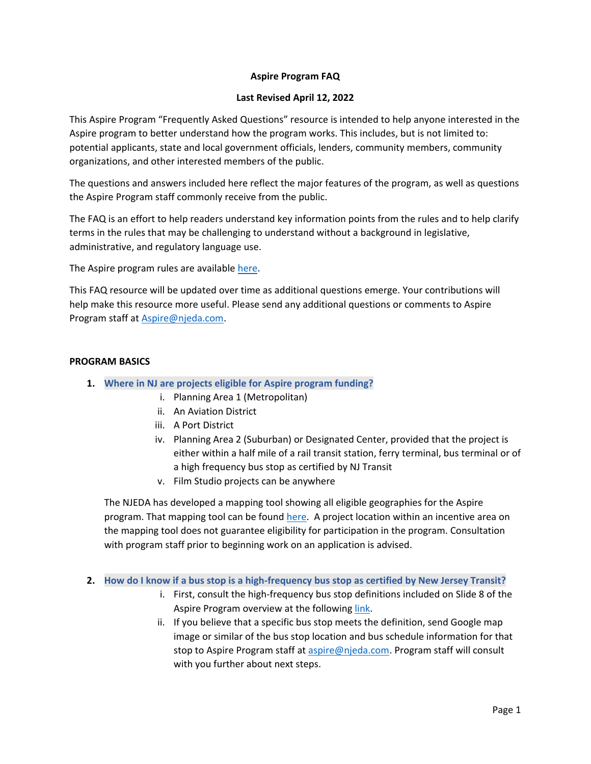# **Aspire Program FAQ**

# **Last Revised April 12, 2022**

This Aspire Program "Frequently Asked Questions" resource is intended to help anyone interested in the Aspire program to better understand how the program works. This includes, but is not limited to: potential applicants, state and local government officials, lenders, community members, community organizations, and other interested members of the public.

The questions and answers included here reflect the major features of the program, as well as questions the Aspire Program staff commonly receive from the public.

The FAQ is an effort to help readers understand key information points from the rules and to help clarify terms in the rules that may be challenging to understand without a background in legislative, administrative, and regulatory language use.

The Aspire program rules are available [here.](https://www.njeda.com/wp-content/uploads/2022/02/NJEDA-New-Rules_Aspire_12.20.21.pdf)

This FAQ resource will be updated over time as additional questions emerge. Your contributions will help make this resource more useful. Please send any additional questions or comments to Aspire Program staff at [Aspire@njeda.com.](mailto:Aspire@njeda.com)

# **PROGRAM BASICS**

- **1. Where in NJ are projects eligible for Aspire program funding?**
	- i. Planning Area 1 (Metropolitan)
	- ii. An Aviation District
	- iii. A Port District
	- iv. Planning Area 2 (Suburban) or Designated Center, provided that the project is either within a half mile of a rail transit station, ferry terminal, bus terminal or of a high frequency bus stop as certified by NJ Transit
	- v. Film Studio projects can be anywhere

The NJEDA has developed a mapping tool showing all eligible geographies for the Aspire program. That mapping tool can be found [here.](https://njeda.maps.arcgis.com/apps/webappviewer/index.html?id=b32ea4347e6a4403a36859e6ee6e5c0a) A project location within an incentive area on the mapping tool does not guarantee eligibility for participation in the program. Consultation with program staff prior to beginning work on an application is advised.

**2. How do I know if a bus stop is a high-frequency bus stop as certified by New Jersey Transit?**

- i. First, consult the high-frequency bus stop definitions included on Slide 8 of the Aspire Program overview at the followin[g link.](https://www.njeda.com/wp-content/uploads/2021/12/Aspire-Program-Overview-Slides-for-Program-.mp4)
- ii. If you believe that a specific bus stop meets the definition, send Google map image or similar of the bus stop location and bus schedule information for that stop to Aspire Program staff a[t aspire@njeda.com.](mailto:aspire@njeda.com) Program staff will consult with you further about next steps.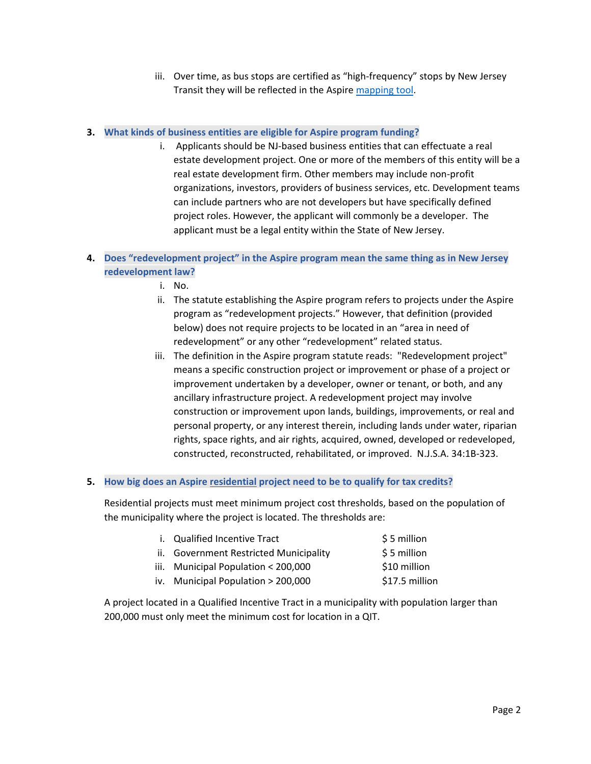iii. Over time, as bus stops are certified as "high-frequency" stops by New Jersey Transit they will be reflected in the Aspire [mapping tool.](https://njeda.maps.arcgis.com/apps/webappviewer/index.html?id=b32ea4347e6a4403a36859e6ee6e5c0a)

# **3. What kinds of business entities are eligible for Aspire program funding?**

i. Applicants should be NJ-based business entities that can effectuate a real estate development project. One or more of the members of this entity will be a real estate development firm. Other members may include non-profit organizations, investors, providers of business services, etc. Development teams can include partners who are not developers but have specifically defined project roles. However, the applicant will commonly be a developer. The applicant must be a legal entity within the State of New Jersey.

# **4. Does "redevelopment project" in the Aspire program mean the same thing as in New Jersey redevelopment law?**

- i. No.
- ii. The statute establishing the Aspire program refers to projects under the Aspire program as "redevelopment projects." However, that definition (provided below) does not require projects to be located in an "area in need of redevelopment" or any other "redevelopment" related status.
- iii. The definition in the Aspire program statute reads: "Redevelopment project" means a specific construction project or improvement or phase of a project or improvement undertaken by a developer, owner or tenant, or both, and any ancillary infrastructure project. A redevelopment project may involve construction or improvement upon lands, buildings, improvements, or real and personal property, or any interest therein, including lands under water, riparian rights, space rights, and air rights, acquired, owned, developed or redeveloped, constructed, reconstructed, rehabilitated, or improved. N.J.S.A. 34:1B-323.

# **5. How big does an Aspire residential project need to be to qualify for tax credits?**

Residential projects must meet minimum project cost thresholds, based on the population of the municipality where the project is located. The thresholds are:

| i. Qualified Incentive Tract           | \$5 million    |
|----------------------------------------|----------------|
| ii. Government Restricted Municipality | \$5 million    |
| iii. Municipal Population < 200,000    | \$10 million   |
| iv. Municipal Population > 200,000     | \$17.5 million |
|                                        |                |

A project located in a Qualified Incentive Tract in a municipality with population larger than 200,000 must only meet the minimum cost for location in a QIT.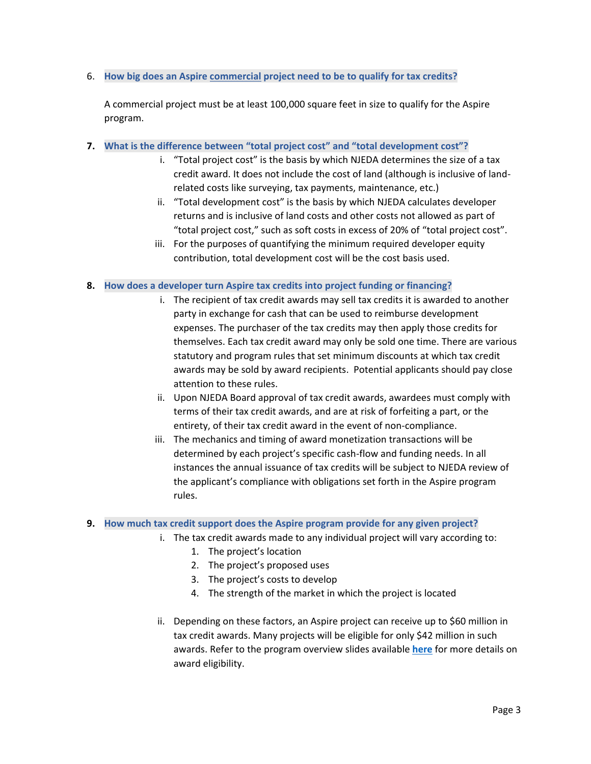# 6. **How big does an Aspire commercial project need to be to qualify for tax credits?**

A commercial project must be at least 100,000 square feet in size to qualify for the Aspire program.

- **7. What is the difference between "total project cost" and "total development cost"?**
	- i. "Total project cost" is the basis by which NJEDA determines the size of a tax credit award. It does not include the cost of land (although is inclusive of landrelated costs like surveying, tax payments, maintenance, etc.)
	- ii. "Total development cost" is the basis by which NJEDA calculates developer returns and is inclusive of land costs and other costs not allowed as part of "total project cost," such as soft costs in excess of 20% of "total project cost".
	- iii. For the purposes of quantifying the minimum required developer equity contribution, total development cost will be the cost basis used.

### **8. How does a developer turn Aspire tax credits into project funding or financing?**

- i. The recipient of tax credit awards may sell tax credits it is awarded to another party in exchange for cash that can be used to reimburse development expenses. The purchaser of the tax credits may then apply those credits for themselves. Each tax credit award may only be sold one time. There are various statutory and program rules that set minimum discounts at which tax credit awards may be sold by award recipients. Potential applicants should pay close attention to these rules.
- ii. Upon NJEDA Board approval of tax credit awards, awardees must comply with terms of their tax credit awards, and are at risk of forfeiting a part, or the entirety, of their tax credit award in the event of non-compliance.
- iii. The mechanics and timing of award monetization transactions will be determined by each project's specific cash-flow and funding needs. In all instances the annual issuance of tax credits will be subject to NJEDA review of the applicant's compliance with obligations set forth in the Aspire program rules.

#### **9. How much tax credit support does the Aspire program provide for any given project?**

- i. The tax credit awards made to any individual project will vary according to:
	- 1. The project's location
	- 2. The project's proposed uses
	- 3. The project's costs to develop
	- 4. The strength of the market in which the project is located
	- ii. Depending on these factors, an Aspire project can receive up to \$60 million in tax credit awards. Many projects will be eligible for only \$42 million in such awards. Refer to the program overview slides available **[here](https://www.njeda.com/wp-content/uploads/2022/03/Aspire-Program-Overview-Slides-for-Program-Home-Page-002.pdf)** for more details on award eligibility.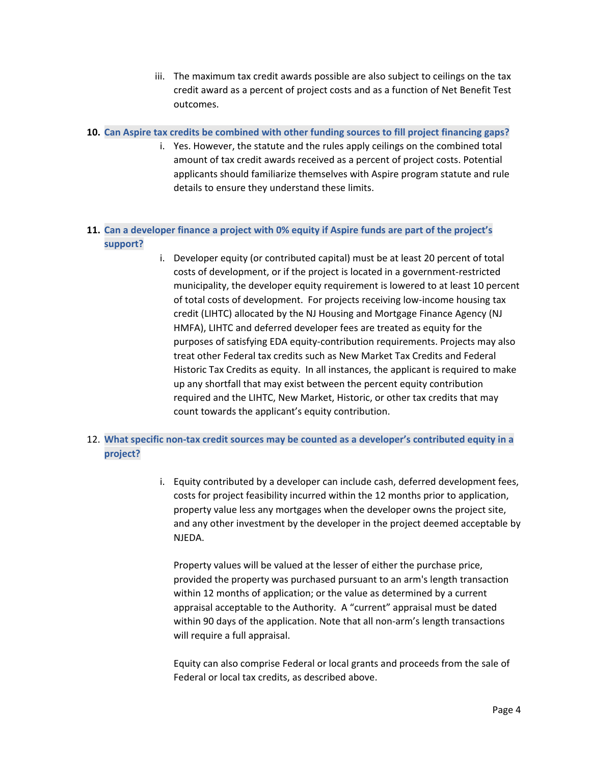iii. The maximum tax credit awards possible are also subject to ceilings on the tax credit award as a percent of project costs and as a function of Net Benefit Test outcomes.

## **10. Can Aspire tax credits be combined with other funding sources to fill project financing gaps?**

i. Yes. However, the statute and the rules apply ceilings on the combined total amount of tax credit awards received as a percent of project costs. Potential applicants should familiarize themselves with Aspire program statute and rule details to ensure they understand these limits.

# **11. Can a developer finance a project with 0% equity if Aspire funds are part of the project's support?**

i. Developer equity (or contributed capital) must be at least 20 percent of total costs of development, or if the project is located in a government-restricted municipality, the developer equity requirement is lowered to at least 10 percent of total costs of development. For projects receiving low-income housing tax credit (LIHTC) allocated by the NJ Housing and Mortgage Finance Agency (NJ HMFA), LIHTC and deferred developer fees are treated as equity for the purposes of satisfying EDA equity-contribution requirements. Projects may also treat other Federal tax credits such as New Market Tax Credits and Federal Historic Tax Credits as equity. In all instances, the applicant is required to make up any shortfall that may exist between the percent equity contribution required and the LIHTC, New Market, Historic, or other tax credits that may count towards the applicant's equity contribution.

# 12. **What specific non-tax credit sources may be counted as a developer's contributed equity in a project?**

i. Equity contributed by a developer can include cash, deferred development fees, costs for project feasibility incurred within the 12 months prior to application, property value less any mortgages when the developer owns the project site, and any other investment by the developer in the project deemed acceptable by NJEDA.

Property values will be valued at the lesser of either the purchase price, provided the property was purchased pursuant to an arm's length transaction within 12 months of application; or the value as determined by a current appraisal acceptable to the Authority. A "current" appraisal must be dated within 90 days of the application. Note that all non-arm's length transactions will require a full appraisal.

Equity can also comprise Federal or local grants and proceeds from the sale of Federal or local tax credits, as described above.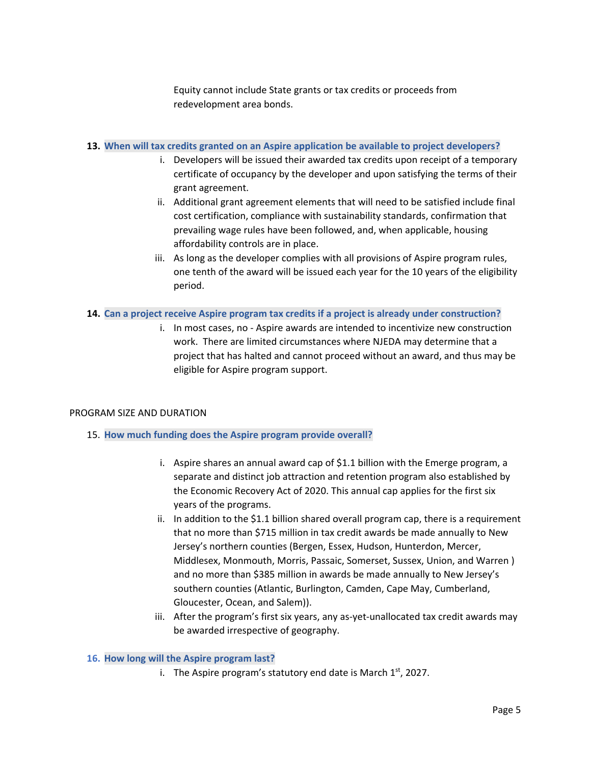Equity cannot include State grants or tax credits or proceeds from redevelopment area bonds.

### **13. When will tax credits granted on an Aspire application be available to project developers?**

- i. Developers will be issued their awarded tax credits upon receipt of a temporary certificate of occupancy by the developer and upon satisfying the terms of their grant agreement.
- ii. Additional grant agreement elements that will need to be satisfied include final cost certification, compliance with sustainability standards, confirmation that prevailing wage rules have been followed, and, when applicable, housing affordability controls are in place.
- iii. As long as the developer complies with all provisions of Aspire program rules, one tenth of the award will be issued each year for the 10 years of the eligibility period.

# **14. Can a project receive Aspire program tax credits if a project is already under construction?**

i. In most cases, no - Aspire awards are intended to incentivize new construction work. There are limited circumstances where NJEDA may determine that a project that has halted and cannot proceed without an award, and thus may be eligible for Aspire program support.

# PROGRAM SIZE AND DURATION

- 15. **How much funding does the Aspire program provide overall?**
	- i. Aspire shares an annual award cap of \$1.1 billion with the Emerge program, a separate and distinct job attraction and retention program also established by the Economic Recovery Act of 2020. This annual cap applies for the first six years of the programs.
	- ii. In addition to the \$1.1 billion shared overall program cap, there is a requirement that no more than \$715 million in tax credit awards be made annually to New Jersey's northern counties (Bergen, Essex, Hudson, Hunterdon, Mercer, Middlesex, Monmouth, Morris, Passaic, Somerset, Sussex, Union, and Warren ) and no more than \$385 million in awards be made annually to New Jersey's southern counties (Atlantic, Burlington, Camden, Cape May, Cumberland, Gloucester, Ocean, and Salem)).
	- iii. After the program's first six years, any as-yet-unallocated tax credit awards may be awarded irrespective of geography.

#### **16. How long will the Aspire program last?**

i. The Aspire program's statutory end date is March  $1<sup>st</sup>$ , 2027.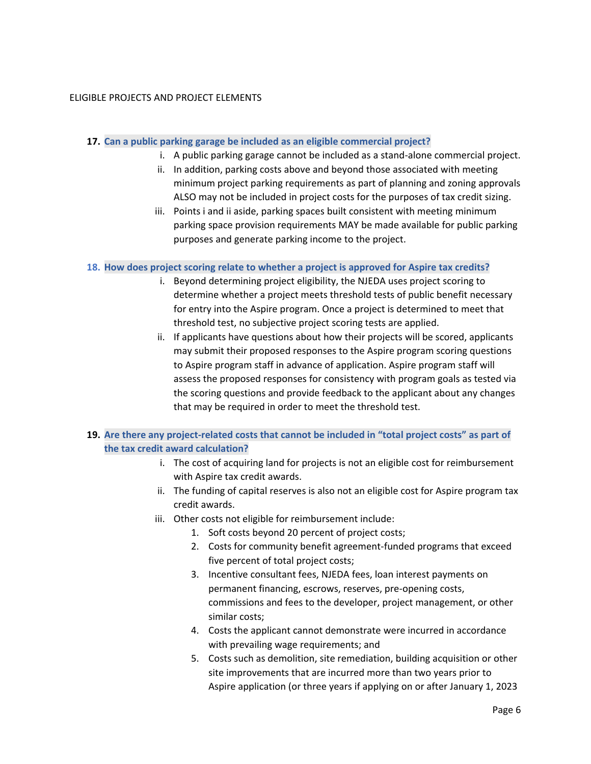## ELIGIBLE PROJECTS AND PROJECT ELEMENTS

#### **17. Can a public parking garage be included as an eligible commercial project?**

- i. A public parking garage cannot be included as a stand-alone commercial project.
- ii. In addition, parking costs above and beyond those associated with meeting minimum project parking requirements as part of planning and zoning approvals ALSO may not be included in project costs for the purposes of tax credit sizing.
- iii. Points i and ii aside, parking spaces built consistent with meeting minimum parking space provision requirements MAY be made available for public parking purposes and generate parking income to the project.

### **18. How does project scoring relate to whether a project is approved for Aspire tax credits?**

- i. Beyond determining project eligibility, the NJEDA uses project scoring to determine whether a project meets threshold tests of public benefit necessary for entry into the Aspire program. Once a project is determined to meet that threshold test, no subjective project scoring tests are applied.
- ii. If applicants have questions about how their projects will be scored, applicants may submit their proposed responses to the Aspire program scoring questions to Aspire program staff in advance of application. Aspire program staff will assess the proposed responses for consistency with program goals as tested via the scoring questions and provide feedback to the applicant about any changes that may be required in order to meet the threshold test.
- **19. Are there any project-related costs that cannot be included in "total project costs" as part of the tax credit award calculation?**
	- i. The cost of acquiring land for projects is not an eligible cost for reimbursement with Aspire tax credit awards.
	- ii. The funding of capital reserves is also not an eligible cost for Aspire program tax credit awards.
	- iii. Other costs not eligible for reimbursement include:
		- 1. Soft costs beyond 20 percent of project costs;
		- 2. Costs for community benefit agreement-funded programs that exceed five percent of total project costs;
		- 3. Incentive consultant fees, NJEDA fees, loan interest payments on permanent financing, escrows, reserves, pre-opening costs, commissions and fees to the developer, project management, or other similar costs;
		- 4. Costs the applicant cannot demonstrate were incurred in accordance with prevailing wage requirements; and
		- 5. Costs such as demolition, site remediation, building acquisition or other site improvements that are incurred more than two years prior to Aspire application (or three years if applying on or after January 1, 2023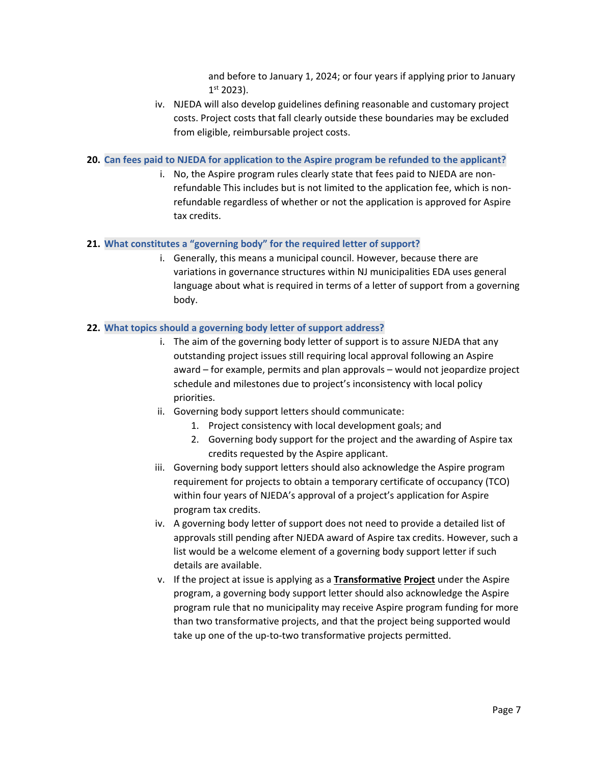and before to January 1, 2024; or four years if applying prior to January 1 st 2023).

iv. NJEDA will also develop guidelines defining reasonable and customary project costs. Project costs that fall clearly outside these boundaries may be excluded from eligible, reimbursable project costs.

#### **20. Can fees paid to NJEDA for application to the Aspire program be refunded to the applicant?**

i. No, the Aspire program rules clearly state that fees paid to NJEDA are nonrefundable This includes but is not limited to the application fee, which is nonrefundable regardless of whether or not the application is approved for Aspire tax credits.

## **21. What constitutes a "governing body" for the required letter of support?**

i. Generally, this means a municipal council. However, because there are variations in governance structures within NJ municipalities EDA uses general language about what is required in terms of a letter of support from a governing body.

### **22. What topics should a governing body letter of support address?**

- i. The aim of the governing body letter of support is to assure NJEDA that any outstanding project issues still requiring local approval following an Aspire award – for example, permits and plan approvals – would not jeopardize project schedule and milestones due to project's inconsistency with local policy priorities.
- ii. Governing body support letters should communicate:
	- 1. Project consistency with local development goals; and
	- 2. Governing body support for the project and the awarding of Aspire tax credits requested by the Aspire applicant.
- iii. Governing body support letters should also acknowledge the Aspire program requirement for projects to obtain a temporary certificate of occupancy (TCO) within four years of NJEDA's approval of a project's application for Aspire program tax credits.
- iv. A governing body letter of support does not need to provide a detailed list of approvals still pending after NJEDA award of Aspire tax credits. However, such a list would be a welcome element of a governing body support letter if such details are available.
- v. If the project at issue is applying as a **Transformative Project** under the Aspire program, a governing body support letter should also acknowledge the Aspire program rule that no municipality may receive Aspire program funding for more than two transformative projects, and that the project being supported would take up one of the up-to-two transformative projects permitted.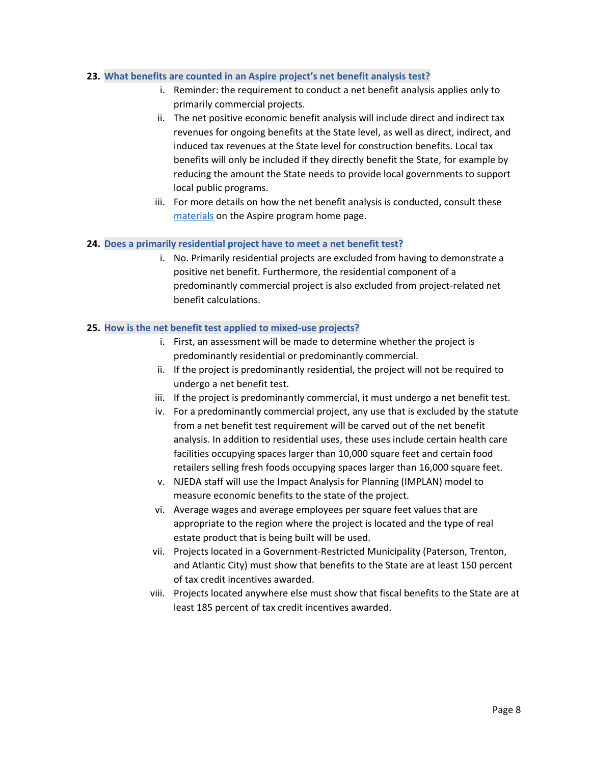### **23. What benefits are counted in an Aspire project's net benefit analysis test?**

- i. Reminder: the requirement to conduct a net benefit analysis applies only to primarily commercial projects.
- ii. The net positive economic benefit analysis will include direct and indirect tax revenues for ongoing benefits at the State level, as well as direct, indirect, and induced tax revenues at the State level for construction benefits. Local tax benefits will only be included if they directly benefit the State, for example by reducing the amount the State needs to provide local governments to support local public programs.
- iii. For more details on how the net benefit analysis is conducted, consult these [materials](https://www.njeda.com/wp-content/uploads/2021/11/Appendix-C-%E2%80%93-Net-Benefit-Analysis.pdf) on the Aspire program home page.

### **24. Does a primarily residential project have to meet a net benefit test?**

i. No. Primarily residential projects are excluded from having to demonstrate a positive net benefit. Furthermore, the residential component of a predominantly commercial project is also excluded from project-related net benefit calculations.

### **25. How is the net benefit test applied to mixed-use projects?**

- i. First, an assessment will be made to determine whether the project is predominantly residential or predominantly commercial.
- ii. If the project is predominantly residential, the project will not be required to undergo a net benefit test.
- iii. If the project is predominantly commercial, it must undergo a net benefit test.
- iv. For a predominantly commercial project, any use that is excluded by the statute from a net benefit test requirement will be carved out of the net benefit analysis. In addition to residential uses, these uses include certain health care facilities occupying spaces larger than 10,000 square feet and certain food retailers selling fresh foods occupying spaces larger than 16,000 square feet.
- v. NJEDA staff will use the Impact Analysis for Planning (IMPLAN) model to measure economic benefits to the state of the project.
- vi. Average wages and average employees per square feet values that are appropriate to the region where the project is located and the type of real estate product that is being built will be used.
- vii. Projects located in a Government-Restricted Municipality (Paterson, Trenton, and Atlantic City) must show that benefits to the State are at least 150 percent of tax credit incentives awarded.
- viii. Projects located anywhere else must show that fiscal benefits to the State are at least 185 percent of tax credit incentives awarded.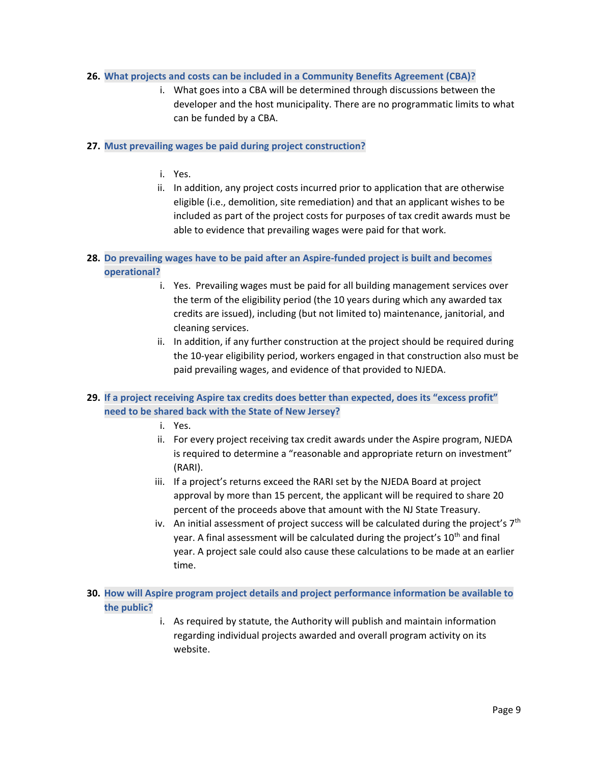# **26. What projects and costs can be included in a Community Benefits Agreement (CBA)?**

i. What goes into a CBA will be determined through discussions between the developer and the host municipality. There are no programmatic limits to what can be funded by a CBA.

### **27. Must prevailing wages be paid during project construction?**

- i. Yes.
- ii. In addition, any project costs incurred prior to application that are otherwise eligible (i.e., demolition, site remediation) and that an applicant wishes to be included as part of the project costs for purposes of tax credit awards must be able to evidence that prevailing wages were paid for that work.

# **28. Do prevailing wages have to be paid after an Aspire-funded project is built and becomes operational?**

- i. Yes. Prevailing wages must be paid for all building management services over the term of the eligibility period (the 10 years during which any awarded tax credits are issued), including (but not limited to) maintenance, janitorial, and cleaning services.
- ii. In addition, if any further construction at the project should be required during the 10-year eligibility period, workers engaged in that construction also must be paid prevailing wages, and evidence of that provided to NJEDA.

# **29. If a project receiving Aspire tax credits does better than expected, does its "excess profit" need to be shared back with the State of New Jersey?**

- i. Yes.
- ii. For every project receiving tax credit awards under the Aspire program, NJEDA is required to determine a "reasonable and appropriate return on investment" (RARI).
- iii. If a project's returns exceed the RARI set by the NJEDA Board at project approval by more than 15 percent, the applicant will be required to share 20 percent of the proceeds above that amount with the NJ State Treasury.
- iv. An initial assessment of project success will be calculated during the project's  $7<sup>th</sup>$ year. A final assessment will be calculated during the project's 10<sup>th</sup> and final year. A project sale could also cause these calculations to be made at an earlier time.
- **30. How will Aspire program project details and project performance information be available to the public?** 
	- i. As required by statute, the Authority will publish and maintain information regarding individual projects awarded and overall program activity on its website.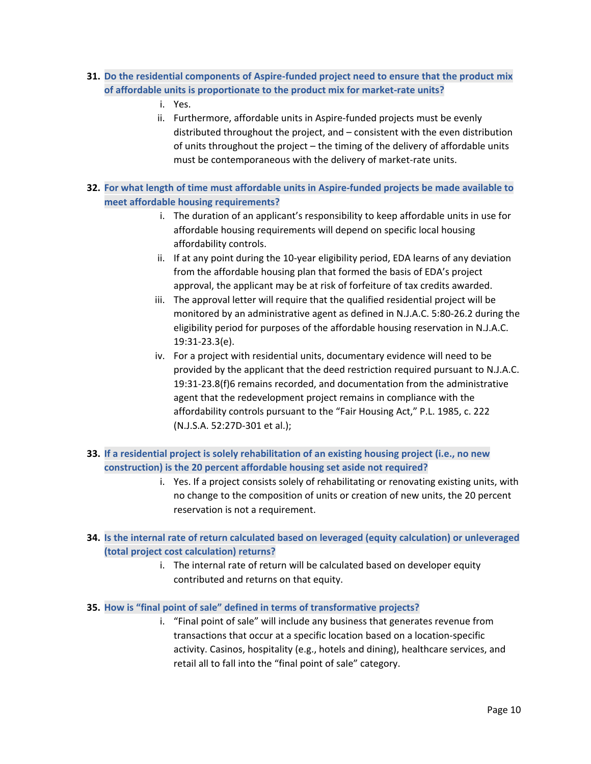- **31. Do the residential components of Aspire-funded project need to ensure that the product mix of affordable units is proportionate to the product mix for market-rate units?**
	- i. Yes.
	- ii. Furthermore, affordable units in Aspire-funded projects must be evenly distributed throughout the project, and – consistent with the even distribution of units throughout the project – the timing of the delivery of affordable units must be contemporaneous with the delivery of market-rate units.
- **32. For what length of time must affordable units in Aspire-funded projects be made available to meet affordable housing requirements?**
	- i. The duration of an applicant's responsibility to keep affordable units in use for affordable housing requirements will depend on specific local housing affordability controls.
	- ii. If at any point during the 10-year eligibility period, EDA learns of any deviation from the affordable housing plan that formed the basis of EDA's project approval, the applicant may be at risk of forfeiture of tax credits awarded.
	- iii. The approval letter will require that the qualified residential project will be monitored by an administrative agent as defined in N.J.A.C. 5:80-26.2 during the eligibility period for purposes of the affordable housing reservation in N.J.A.C. 19:31-23.3(e).
	- iv. For a project with residential units, documentary evidence will need to be provided by the applicant that the deed restriction required pursuant to N.J.A.C. 19:31-23.8(f)6 remains recorded, and documentation from the administrative agent that the redevelopment project remains in compliance with the affordability controls pursuant to the "Fair Housing Act," P.L. 1985, c. 222 (N.J.S.A. 52:27D-301 et al.);
- **33. If a residential project is solely rehabilitation of an existing housing project (i.e., no new construction) is the 20 percent affordable housing set aside not required?** 
	- i. Yes. If a project consists solely of rehabilitating or renovating existing units, with no change to the composition of units or creation of new units, the 20 percent reservation is not a requirement.
- **34. Is the internal rate of return calculated based on leveraged (equity calculation) or unleveraged (total project cost calculation) returns?**
	- i. The internal rate of return will be calculated based on developer equity contributed and returns on that equity.
- **35. How is "final point of sale" defined in terms of transformative projects?** 
	- i. "Final point of sale" will include any business that generates revenue from transactions that occur at a specific location based on a location-specific activity. Casinos, hospitality (e.g., hotels and dining), healthcare services, and retail all to fall into the "final point of sale" category.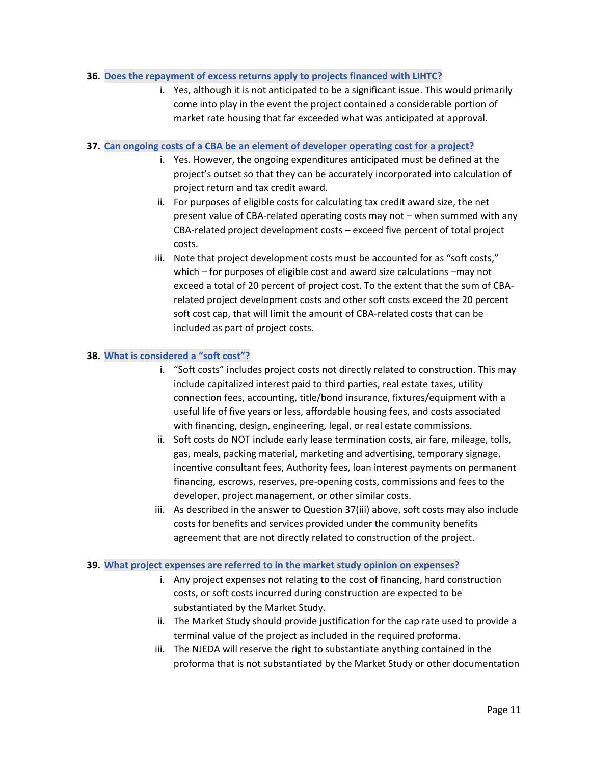### **36. Does the repayment of excess returns apply to projects financed with LIHTC?**

i. Yes, although it is not anticipated to be a significant issue. This would primarily come into play in the event the project contained a considerable portion of market rate housing that far exceeded what was anticipated at approval.

### **37. Can ongoing costs of a CBA be an element of developer operating cost for a project?**

- i. Yes. However, the ongoing expenditures anticipated must be defined at the project's outset so that they can be accurately incorporated into calculation of project return and tax credit award.
- ii. For purposes of eligible costs for calculating tax credit award size, the net present value of CBA-related operating costs may not – when summed with any CBA-related project development costs – exceed five percent of total project costs.
- iii. Note that project development costs must be accounted for as "soft costs," which – for purposes of eligible cost and award size calculations –may not exceed a total of 20 percent of project cost. To the extent that the sum of CBArelated project development costs and other soft costs exceed the 20 percent soft cost cap, that will limit the amount of CBA-related costs that can be included as part of project costs.

### **38. What is considered a "soft cost"?**

- i. "Soft costs" includes project costs not directly related to construction. This may include capitalized interest paid to third parties, real estate taxes, utility connection fees, accounting, title/bond insurance, fixtures/equipment with a useful life of five years or less, affordable housing fees, and costs associated with financing, design, engineering, legal, or real estate commissions.
- ii. Soft costs do NOT include early lease termination costs, air fare, mileage, tolls, gas, meals, packing material, marketing and advertising, temporary signage, incentive consultant fees, Authority fees, loan interest payments on permanent financing, escrows, reserves, pre-opening costs, commissions and fees to the developer, project management, or other similar costs.
- iii. As described in the answer to Question 37(iii) above, soft costs may also include costs for benefits and services provided under the community benefits agreement that are not directly related to construction of the project.

#### **39. What project expenses are referred to in the market study opinion on expenses?**

- i. Any project expenses not relating to the cost of financing, hard construction costs, or soft costs incurred during construction are expected to be substantiated by the Market Study.
- ii. The Market Study should provide justification for the cap rate used to provide a terminal value of the project as included in the required proforma.
- iii. The NJEDA will reserve the right to substantiate anything contained in the proforma that is not substantiated by the Market Study or other documentation